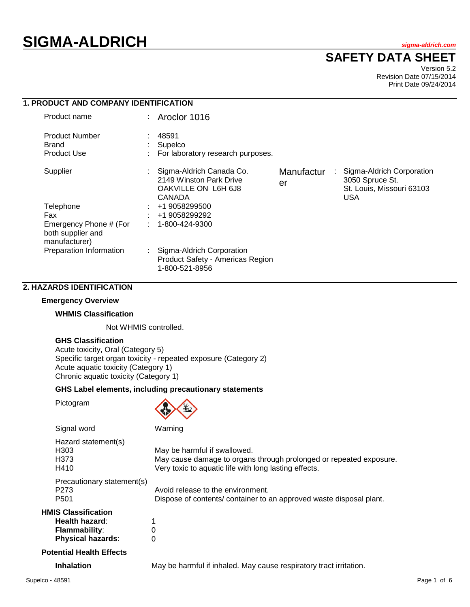# **SIGMA-ALDRICH** *sigma-aldrich.com*

## **SAFETY DATA SHEET**

Version 5.2 Revision Date 07/15/2014 Print Date 09/24/2014

| <b>1. PRODUCT AND COMPANY IDENTIFICATION</b>                 |    |                                                                                      |                  |   |                                                                                  |  |
|--------------------------------------------------------------|----|--------------------------------------------------------------------------------------|------------------|---|----------------------------------------------------------------------------------|--|
| Product name                                                 |    | : Aroclor $1016$                                                                     |                  |   |                                                                                  |  |
| <b>Product Number</b><br><b>Brand</b><br><b>Product Use</b>  |    | 48591<br>Supelco<br>For laboratory research purposes.                                |                  |   |                                                                                  |  |
| Supplier                                                     |    | Sigma-Aldrich Canada Co.<br>2149 Winston Park Drive<br>OAKVILLE ON L6H 6J8<br>CANADA | Manufactur<br>er | ÷ | Sigma-Aldrich Corporation<br>3050 Spruce St.<br>St. Louis, Missouri 63103<br>USA |  |
| Telephone                                                    |    | +1 9058299500                                                                        |                  |   |                                                                                  |  |
| Fax                                                          |    | +1 9058299292                                                                        |                  |   |                                                                                  |  |
| Emergency Phone # (For<br>both supplier and<br>manufacturer) |    | 1-800-424-9300                                                                       |                  |   |                                                                                  |  |
| Preparation Information                                      | ÷. | Sigma-Aldrich Corporation<br>Product Safety - Americas Region<br>1-800-521-8956      |                  |   |                                                                                  |  |

### **2. HAZARDS IDENTIFICATION**

### **Emergency Overview**

#### **WHMIS Classification**

Not WHMIS controlled.

### **GHS Classification**

Acute toxicity, Oral (Category 5) Specific target organ toxicity - repeated exposure (Category 2) Acute aquatic toxicity (Category 1) Chronic aquatic toxicity (Category 1)

### **GHS Label elements, including precautionary statements**

Pictogram



| Signal word                                                                                      | Warning                                                                                                                                                     |
|--------------------------------------------------------------------------------------------------|-------------------------------------------------------------------------------------------------------------------------------------------------------------|
| Hazard statement(s)<br>H303<br>H373<br>H410                                                      | May be harmful if swallowed.<br>May cause damage to organs through prolonged or repeated exposure.<br>Very toxic to aquatic life with long lasting effects. |
| Precautionary statement(s)<br>P <sub>273</sub><br>P <sub>501</sub>                               | Avoid release to the environment.<br>Dispose of contents/ container to an approved waste disposal plant.                                                    |
| <b>HMIS Classification</b><br>Health hazard:<br><b>Flammability:</b><br><b>Physical hazards:</b> | 0<br>0                                                                                                                                                      |
| <b>Potential Health Effects</b>                                                                  |                                                                                                                                                             |

**Inhalation** May be harmful if inhaled. May cause respiratory tract irritation.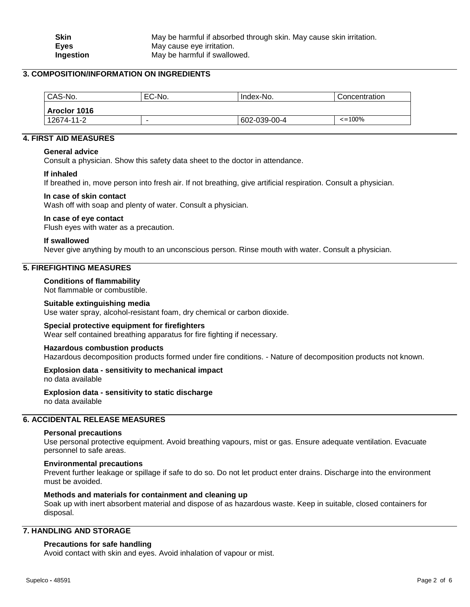### **3. COMPOSITION/INFORMATION ON INGREDIENTS**

| CAS-No.        | EC-No. | Index-No.    | Concentration      |  |  |
|----------------|--------|--------------|--------------------|--|--|
| l Aroclor 1016 |        |              |                    |  |  |
| 12674-11-2     | -      | 602-039-00-4 | $\epsilon = 100\%$ |  |  |

### **4. FIRST AID MEASURES**

### **General advice**

Consult a physician. Show this safety data sheet to the doctor in attendance.

### **If inhaled**

If breathed in, move person into fresh air. If not breathing, give artificial respiration. Consult a physician.

### **In case of skin contact**

Wash off with soap and plenty of water. Consult a physician.

### **In case of eye contact**

Flush eyes with water as a precaution.

### **If swallowed**

Never give anything by mouth to an unconscious person. Rinse mouth with water. Consult a physician.

### **5. FIREFIGHTING MEASURES**

### **Conditions of flammability**

Not flammable or combustible.

### **Suitable extinguishing media**

Use water spray, alcohol-resistant foam, dry chemical or carbon dioxide.

#### **Special protective equipment for firefighters**

Wear self contained breathing apparatus for fire fighting if necessary.

#### **Hazardous combustion products**

Hazardous decomposition products formed under fire conditions. - Nature of decomposition products not known.

### **Explosion data - sensitivity to mechanical impact**

no data available

**Explosion data - sensitivity to static discharge** no data available

### **6. ACCIDENTAL RELEASE MEASURES**

#### **Personal precautions**

Use personal protective equipment. Avoid breathing vapours, mist or gas. Ensure adequate ventilation. Evacuate personnel to safe areas.

### **Environmental precautions**

Prevent further leakage or spillage if safe to do so. Do not let product enter drains. Discharge into the environment must be avoided.

#### **Methods and materials for containment and cleaning up**

Soak up with inert absorbent material and dispose of as hazardous waste. Keep in suitable, closed containers for disposal.

### **7. HANDLING AND STORAGE**

### **Precautions for safe handling**

Avoid contact with skin and eyes. Avoid inhalation of vapour or mist.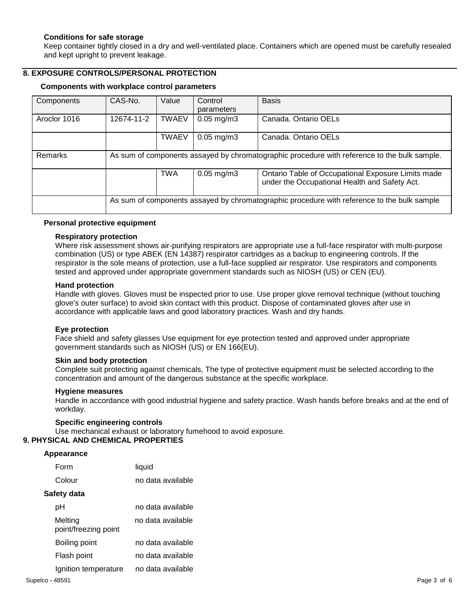### **Conditions for safe storage**

Keep container tightly closed in a dry and well-ventilated place. Containers which are opened must be carefully resealed and kept upright to prevent leakage.

### **8. EXPOSURE CONTROLS/PERSONAL PROTECTION**

### **Components with workplace control parameters**

| Components     | CAS-No.                                                                                      | Value        | Control<br>parameters | <b>Basis</b>                                                                                        |
|----------------|----------------------------------------------------------------------------------------------|--------------|-----------------------|-----------------------------------------------------------------------------------------------------|
| Aroclor 1016   | 12674-11-2                                                                                   | <b>TWAEV</b> | $0.05$ mg/m $3$       | Canada. Ontario OELs                                                                                |
|                |                                                                                              | <b>TWAEV</b> | $0.05$ mg/m $3$       | Canada, Ontario OELs                                                                                |
| <b>Remarks</b> | As sum of components assayed by chromatographic procedure with reference to the bulk sample. |              |                       |                                                                                                     |
|                |                                                                                              | <b>TWA</b>   | $0.05$ mg/m $3$       | Ontario Table of Occupational Exposure Limits made<br>under the Occupational Health and Safety Act. |
|                | As sum of components assayed by chromatographic procedure with reference to the bulk sample  |              |                       |                                                                                                     |

### **Personal protective equipment**

### **Respiratory protection**

Where risk assessment shows air-purifying respirators are appropriate use a full-face respirator with multi-purpose combination (US) or type ABEK (EN 14387) respirator cartridges as a backup to engineering controls. If the respirator is the sole means of protection, use a full-face supplied air respirator. Use respirators and components tested and approved under appropriate government standards such as NIOSH (US) or CEN (EU).

#### **Hand protection**

Handle with gloves. Gloves must be inspected prior to use. Use proper glove removal technique (without touching glove's outer surface) to avoid skin contact with this product. Dispose of contaminated gloves after use in accordance with applicable laws and good laboratory practices. Wash and dry hands.

#### **Eye protection**

Face shield and safety glasses Use equipment for eye protection tested and approved under appropriate government standards such as NIOSH (US) or EN 166(EU).

### **Skin and body protection**

Complete suit protecting against chemicals, The type of protective equipment must be selected according to the concentration and amount of the dangerous substance at the specific workplace.

#### **Hygiene measures**

Handle in accordance with good industrial hygiene and safety practice. Wash hands before breaks and at the end of workday.

## **Specific engineering controls**

Use mechanical exhaust or laboratory fumehood to avoid exposure.

### **9. PHYSICAL AND CHEMICAL PROPERTIES**

#### **Appearance**

| Form                            | liquid            |
|---------------------------------|-------------------|
| Colour                          | no data available |
| Safety data                     |                   |
| рH                              | no data available |
| Melting<br>point/freezing point | no data available |
| Boiling point                   | no data available |
| Flash point                     | no data available |
| Ignition temperature            | no data available |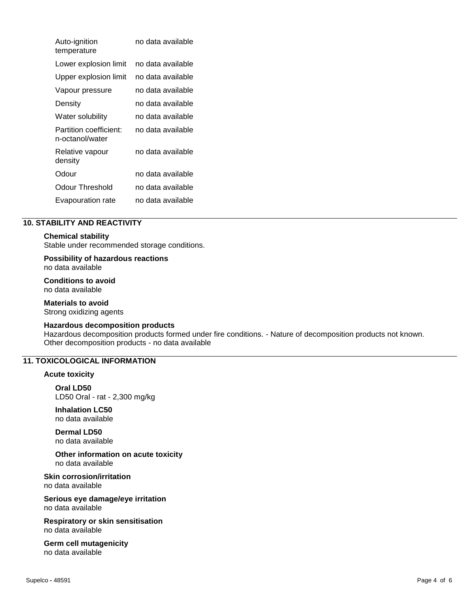| Auto-ignition<br>temperature              | no data available |
|-------------------------------------------|-------------------|
| Lower explosion limit                     | no data available |
| Upper explosion limit                     | no data available |
| Vapour pressure                           | no data available |
| Density                                   | no data available |
| Water solubility                          | no data available |
| Partition coefficient:<br>n-octanol/water | no data available |
| Relative vapour<br>density                | no data available |
| Odour                                     | no data available |
| Odour Threshold                           | no data available |
| Evapouration rate                         | no data available |

### **10. STABILITY AND REACTIVITY**

### **Chemical stability**

Stable under recommended storage conditions.

**Possibility of hazardous reactions**

no data available

**Conditions to avoid** no data available

**Materials to avoid** Strong oxidizing agents

#### **Hazardous decomposition products**

Hazardous decomposition products formed under fire conditions. - Nature of decomposition products not known. Other decomposition products - no data available

### **11. TOXICOLOGICAL INFORMATION**

### **Acute toxicity**

**Oral LD50** LD50 Oral - rat - 2,300 mg/kg

**Inhalation LC50** no data available

**Dermal LD50** no data available

**Other information on acute toxicity** no data available

**Skin corrosion/irritation** no data available

**Serious eye damage/eye irritation** no data available

**Respiratory or skin sensitisation** no data available

**Germ cell mutagenicity** no data available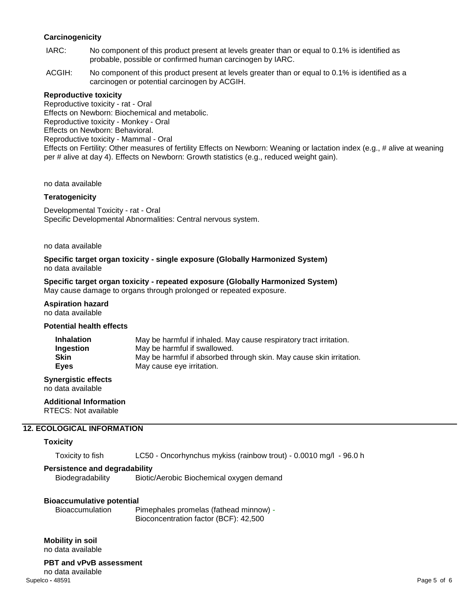### **Carcinogenicity**

- IARC: No component of this product present at levels greater than or equal to 0.1% is identified as probable, possible or confirmed human carcinogen by IARC.
- ACGIH: No component of this product present at levels greater than or equal to 0.1% is identified as a carcinogen or potential carcinogen by ACGIH.

### **Reproductive toxicity**

Reproductive toxicity - rat - Oral Effects on Newborn: Biochemical and metabolic. Reproductive toxicity - Monkey - Oral Effects on Newborn: Behavioral. Reproductive toxicity - Mammal - Oral Effects on Fertility: Other measures of fertility Effects on Newborn: Weaning or lactation index (e.g., # alive at weaning per # alive at day 4). Effects on Newborn: Growth statistics (e.g., reduced weight gain).

no data available

### **Teratogenicity**

Developmental Toxicity - rat - Oral Specific Developmental Abnormalities: Central nervous system.

no data available

**Specific target organ toxicity - single exposure (Globally Harmonized System)** no data available

## **Specific target organ toxicity - repeated exposure (Globally Harmonized System)**

May cause damage to organs through prolonged or repeated exposure.

**Aspiration hazard** no data available

#### **Potential health effects**

| <b>Inhalation</b> | May be harmful if inhaled. May cause respiratory tract irritation.  |
|-------------------|---------------------------------------------------------------------|
| Ingestion         | May be harmful if swallowed.                                        |
| <b>Skin</b>       | May be harmful if absorbed through skin. May cause skin irritation. |
| Eves              | May cause eye irritation.                                           |

**Synergistic effects** no data available

**Additional Information**

RTECS: Not available

### **12. ECOLOGICAL INFORMATION**

### **Toxicity**

Toxicity to fish LC50 - Oncorhynchus mykiss (rainbow trout) - 0.0010 mg/l - 96.0 h

#### **Persistence and degradability**

Biodegradability Biotic/Aerobic Biochemical oxygen demand

### **Bioaccumulative potential**

Bioaccumulation Pimephales promelas (fathead minnow) - Bioconcentration factor (BCF): 42,500

**Mobility in soil** no data available

### **PBT and vPvB assessment**

Supelco **-** 48591 Page 5 of 6 no data available